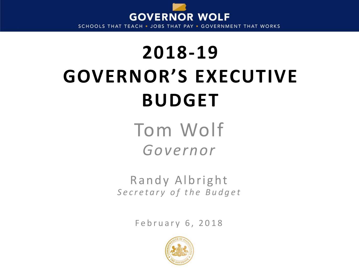

SCHOOLS THAT TEACH . JOBS THAT PAY . GOVERNMENT THAT WORKS

# **2018-19 GOVERNOR'S EXECUTIVE BUDGET**

Tom Wolf *Governor*

Randy Albright *Secretary of the Budget*

February 6, 2018

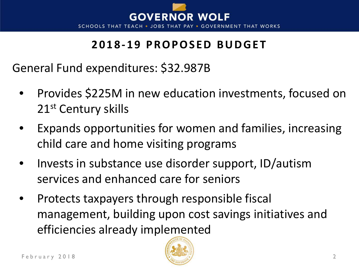

#### **2018-19 PROPOSED BUDGET**

General Fund expenditures: \$32.987B

- Provides \$225M in new education investments, focused on 21<sup>st</sup> Century skills
- Expands opportunities for women and families, increasing child care and home visiting programs
- Invests in substance use disorder support, ID/autism services and enhanced care for seniors
- Protects taxpayers through responsible fiscal management, building upon cost savings initiatives and efficiencies already implemented

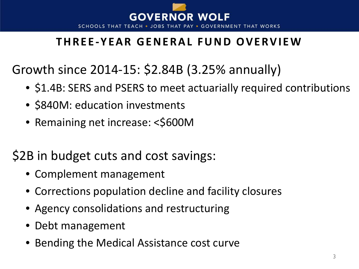

#### **THREE -YEAR GENERAL FUND OVERVIEW**

Growth since 2014-15: \$2.84B (3.25% annually)

- \$1.4B: SERS and PSERS to meet actuarially required contributions
- \$840M: education investments
- Remaining net increase: <\$600M

# \$2B in budget cuts and cost savings:

- Complement management
- Corrections population decline and facility closures
- Agency consolidations and restructuring
- Debt management
- Bending the Medical Assistance cost curve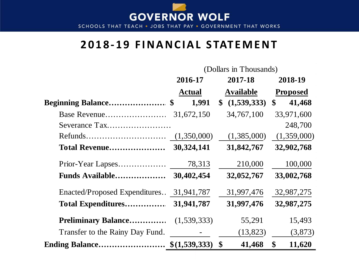

SCHOOLS THAT TEACH . JOBS THAT PAY . GOVERNMENT THAT WORKS

#### **2018-19 FINANCIAL STATEMENT**

|                                 | (Dollars in Thousands) |                              |                             |  |  |  |  |  |
|---------------------------------|------------------------|------------------------------|-----------------------------|--|--|--|--|--|
|                                 | 2016-17                | 2017-18                      | 2018-19                     |  |  |  |  |  |
|                                 | <b>Actual</b>          | <b>Available</b>             | <b>Proposed</b>             |  |  |  |  |  |
| Beginning Balance \$            | 1,991                  | (1,539,333)<br>$\mathbf{\$}$ | 41,468<br>$\boldsymbol{\$}$ |  |  |  |  |  |
| Base Revenue                    | 31,672,150             | 34,767,100                   | 33,971,600                  |  |  |  |  |  |
| Severance Tax                   |                        |                              | 248,700                     |  |  |  |  |  |
|                                 | (1,350,000)            | (1,385,000)                  | (1,359,000)                 |  |  |  |  |  |
| Total Revenue                   | 30,324,141             | 31,842,767                   | 32,902,768                  |  |  |  |  |  |
|                                 | 78,313                 | 210,000                      | 100,000                     |  |  |  |  |  |
| <b>Funds Available</b>          | 30,402,454             | 32,052,767                   | 33,002,768                  |  |  |  |  |  |
| Enacted/Proposed Expenditures   | 31,941,787             | 31,997,476                   | 32,987,275                  |  |  |  |  |  |
| <b>Total Expenditures</b>       | 31,941,787             | 31,997,476                   | 32,987,275                  |  |  |  |  |  |
| <b>Preliminary Balance</b>      | (1,539,333)            | 55,291                       | 15,493                      |  |  |  |  |  |
| Transfer to the Rainy Day Fund. |                        | (13, 823)                    | (3,873)                     |  |  |  |  |  |
| <b>Ending Balance</b>           | \$(1,539,333)          | $\mathbf{\$}$<br>41,468      | \$<br>11,620                |  |  |  |  |  |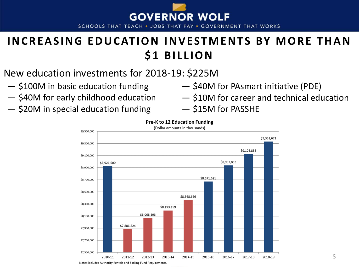

SCHOOLS THAT TEACH . JOBS THAT PAY . GOVERNMENT THAT WORKS

#### **INCREASING EDUCATION INVESTMENTS BY MORE THAN \$1 BILLION**

- New education investments for 2018-19: \$225M
- ― \$100M in basic education funding
- ― \$40M for early childhood education
- ― \$20M in special education funding
- ― \$40M for PAsmart initiative (PDE)
- ― \$10M for career and technical education
- ― \$15M for PASSHE



#### **Pre-K to 12 Education Funding**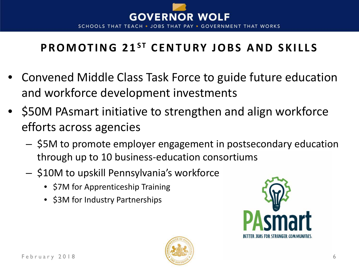

# **PROMOTING 21ST CENTURY JOBS AND SKILLS**

- Convened Middle Class Task Force to guide future education and workforce development investments
- \$50M PAsmart initiative to strengthen and align workforce efforts across agencies
	- \$5M to promote employer engagement in postsecondary education through up to 10 business-education consortiums
	- \$10M to upskill Pennsylvania's workforce
		- \$7M for Apprenticeship Training
		- \$3M for Industry Partnerships



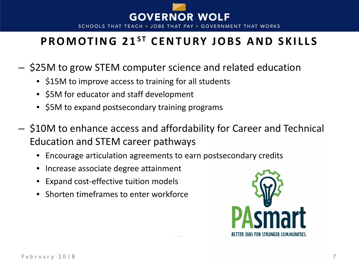

#### **PROMOTING 21<sup>ST</sup> CENTURY JOBS AND SKILLS**

- \$25M to grow STEM computer science and related education
	- \$15M to improve access to training for all students
	- \$5M for educator and staff development
	- \$5M to expand postsecondary training programs
- \$10M to enhance access and affordability for Career and Technical Education and STEM career pathways
	- Encourage articulation agreements to earn postsecondary credits
	- Increase associate degree attainment
	- Expand cost-effective tuition models
	- Shorten timeframes to enter workforce

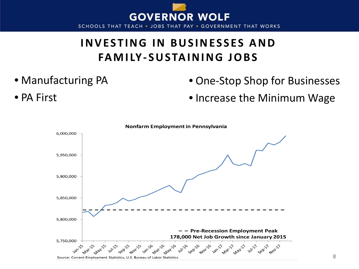

#### **INVESTING IN BUSINESSES AND FAMILY- SUSTAINING JOBS**

• Manufacturing PA

• PA First

- One-Stop Shop for Businesses
- Increase the Minimum Wage

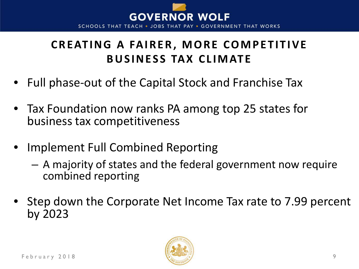

#### **CREATING A FAIRER, MORE COMPETITIVE BUSINESS TAX CLIMATE**

- Full phase-out of the Capital Stock and Franchise Tax
- Tax Foundation now ranks PA among top 25 states for business tax competitiveness
- Implement Full Combined Reporting
	- A majority of states and the federal government now require combined reporting
- Step down the Corporate Net Income Tax rate to 7.99 percent by 2023

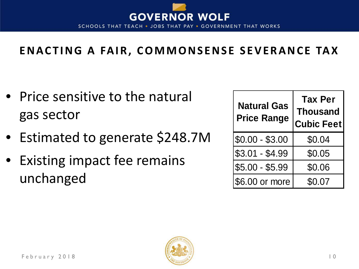

#### **ENACTING A FAIR, COMMONSENSE SEVERANCE TAX**

- Price sensitive to the natural gas sector
- Estimated to generate \$248.7M
- Existing impact fee remains unchanged

| <b>Natural Gas</b><br><b>Price Range</b> | <b>Tax Per</b><br><b>Thousand</b><br><b>Cubic Feet</b> |  |  |  |  |  |
|------------------------------------------|--------------------------------------------------------|--|--|--|--|--|
| $$0.00 - $3.00$                          | \$0.04                                                 |  |  |  |  |  |
| $$3.01 - $4.99$                          | \$0.05                                                 |  |  |  |  |  |
| $$5.00 - $5.99$                          | \$0.06                                                 |  |  |  |  |  |
| \$6.00 or more                           | \$0.07                                                 |  |  |  |  |  |

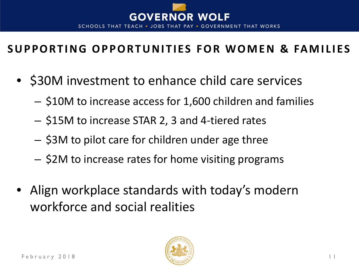

#### **SUPPORTING OPPORTUNITIES FOR WOMEN & FAMILIES**

- \$30M investment to enhance child care services
	- \$10M to increase access for 1,600 children and families
	- \$15M to increase STAR 2, 3 and 4-tiered rates
	- \$3M to pilot care for children under age three
	- \$2M to increase rates for home visiting programs
- Align workplace standards with today's modern workforce and social realities

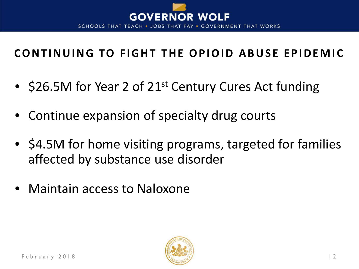

#### **CONTINUING TO FIGHT THE OPIOID ABUSE EPIDEMIC**

- \$26.5M for Year 2 of 21<sup>st</sup> Century Cures Act funding
- Continue expansion of specialty drug courts
- \$4.5M for home visiting programs, targeted for families affected by substance use disorder
- Maintain access to Naloxone

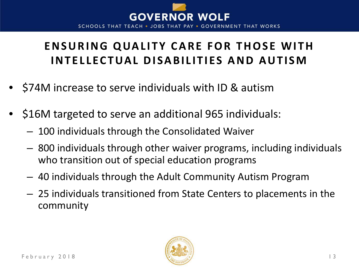

# **ENSURING QUALITY CARE FOR THOSE WITH INTELLECTUAL DISABILITIES AND AUTISM**

- \$74M increase to serve individuals with ID & autism
- \$16M targeted to serve an additional 965 individuals:
	- 100 individuals through the Consolidated Waiver
	- 800 individuals through other waiver programs, including individuals who transition out of special education programs
	- 40 individuals through the Adult Community Autism Program
	- 25 individuals transitioned from State Centers to placements in the community

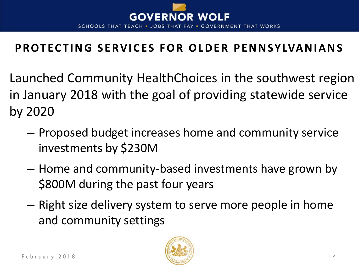

#### **PROTECTING SERVICES FOR OLDER PENNSYLVANIANS**

- Launched Community HealthChoices in the southwest region in January 2018 with the goal of providing statewide service by 2020
	- Proposed budget increases home and community service investments by \$230M
	- Home and community-based investments have grown by \$800M during the past four years
	- Right size delivery system to serve more people in home and community settings

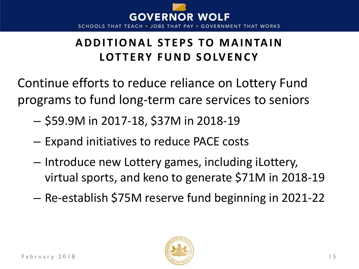

#### **ADDITIONAL STEPS TO MAINTAIN LOTTERY FUND SOLVENCY**

Continue efforts to reduce reliance on Lottery Fund programs to fund long-term care services to seniors

- \$59.9M in 2017-18, \$37M in 2018-19
- Expand initiatives to reduce PACE costs
- Introduce new Lottery games, including iLottery, virtual sports, and keno to generate \$71M in 2018-19
- Re-establish \$75M reserve fund beginning in 2021-22

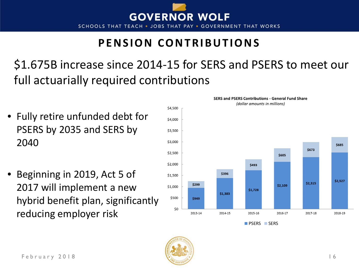

#### **PENSION CONTRIBUTIONS**

\$1.675B increase since 2014-15 for SERS and PSERS to meet our full actuarially required contributions

- Fully retire unfunded debt for PSERS by 2035 and SERS by 2040
- Beginning in 2019, Act 5 of 2017 will implement a new hybrid benefit plan, significantly reducing employer risk



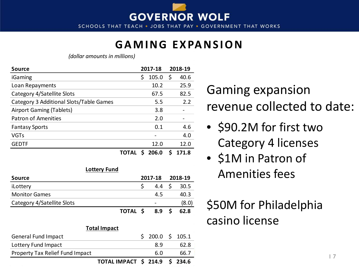

**SCHOOLS THAT TEACH THAT WORKS** • JOBS THAT PAY • GOVERNMENT

#### **GAMING EXPANSION**

*(dollar amounts in millions)*

| <b>Source</b>                           |       | 2017-18 | 2018-19    |
|-----------------------------------------|-------|---------|------------|
| iGaming                                 | Ś.    | 105.0   | \$<br>40.6 |
| Loan Repayments                         |       | 10.2    | 25.9       |
| Category 4/Satellite Slots              |       | 67.5    | 82.5       |
| Category 3 Additional Slots/Table Games |       | 5.5     | 2.2        |
| Airport Gaming (Tablets)                |       | 3.8     |            |
| Patron of Amenities                     |       | 2.0     |            |
| <b>Fantasy Sports</b>                   |       | 0.1     | 4.6        |
| <b>VGTs</b>                             |       |         | 4.0        |
| <b>GEDTF</b>                            |       | 12.0    | 12.0       |
|                                         | TOTAL | 206.0   | 171.8      |

| Lotterv Fund |
|--------------|
|--------------|

| Source                     |          | 2017-18 |     | 2018-19 |      |
|----------------------------|----------|---------|-----|---------|------|
| iLottery                   |          |         | 4.4 | - \$    | 30.5 |
| <b>Monitor Games</b>       |          |         | 4.5 |         | 40.3 |
| Category 4/Satellite Slots |          |         |     |         | (8.0 |
|                            | TOTAL \$ |         | 8.9 |         | 62.8 |

| <b>Total Impact</b>             |                                |  |                  |  |      |  |  |  |
|---------------------------------|--------------------------------|--|------------------|--|------|--|--|--|
| General Fund Impact             |                                |  | $$200.0 \$105.1$ |  |      |  |  |  |
| Lottery Fund Impact             |                                |  | 8.9              |  | 62.8 |  |  |  |
| Property Tax Relief Fund Impact |                                |  | 6.0              |  | 66.7 |  |  |  |
|                                 | TOTAL IMPACT \$ 214.9 \$ 234.6 |  |                  |  |      |  |  |  |

Gaming expansion revenue collected to date:

- \$90.2M for first two Category 4 licenses
- \$1M in Patron of Amenities fees

\$50M for Philadelphia casino license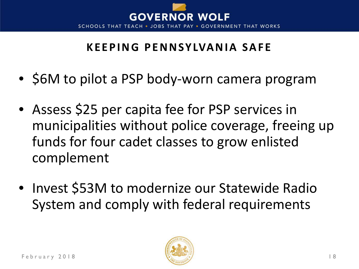

#### **KEEPING PENNSYLVANIA SAFE**

- \$6M to pilot a PSP body-worn camera program
- Assess \$25 per capita fee for PSP services in municipalities without police coverage, freeing up funds for four cadet classes to grow enlisted complement
- Invest \$53M to modernize our Statewide Radio System and comply with federal requirements

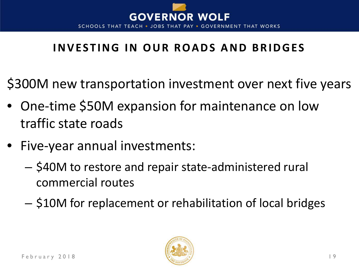

# **INVESTING IN OUR ROADS AND BRIDGES**

\$300M new transportation investment over next five years

- One-time \$50M expansion for maintenance on low traffic state roads
- Five-year annual investments:
	- \$40M to restore and repair state-administered rural commercial routes
	- \$10M for replacement or rehabilitation of local bridges

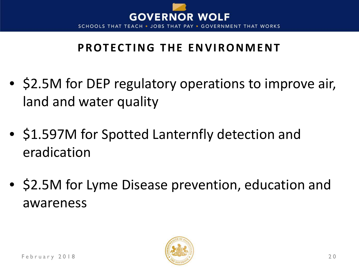

# **PROTECTING THE ENVIRONMENT**

- \$2.5M for DEP regulatory operations to improve air, land and water quality
- \$1.597M for Spotted Lanternfly detection and eradication
- \$2.5M for Lyme Disease prevention, education and awareness

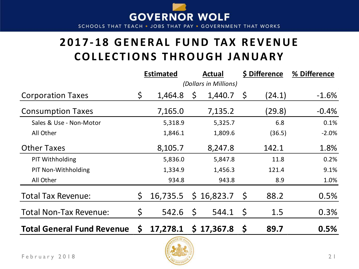

#### **2017-18 GENERAL FUND TAX REVENUE COLLECTIONS THROUGH JANUARY**

|                                   |                       | <b>Estimated</b><br><b>Actual</b> |              |                | \$ Difference | % Difference |         |
|-----------------------------------|-----------------------|-----------------------------------|--------------|----------------|---------------|--------------|---------|
|                                   | (Dollars in Millions) |                                   |              |                |               |              |         |
| <b>Corporation Taxes</b>          | \$                    | 1,464.8                           | S            | 1,440.7        | \$,           | (24.1)       | $-1.6%$ |
| <b>Consumption Taxes</b>          |                       | 7,165.0                           |              | 7,135.2        |               | (29.8)       | $-0.4%$ |
| Sales & Use - Non-Motor           |                       | 5,318.9                           |              | 5,325.7        |               | 6.8          | 0.1%    |
| All Other                         |                       | 1,846.1                           |              | 1,809.6        |               | (36.5)       | $-2.0%$ |
| <b>Other Taxes</b>                |                       | 8,105.7                           |              | 8,247.8        |               | 142.1        | 1.8%    |
| PIT Withholding                   |                       | 5,836.0                           |              | 5,847.8        |               | 11.8         | 0.2%    |
| PIT Non-Withholding               |                       | 1,334.9                           |              | 1,456.3        |               | 121.4        | 9.1%    |
| All Other                         |                       | 934.8                             |              | 943.8          |               | 8.9          | 1.0%    |
| <b>Total Tax Revenue:</b>         | \$                    | 16,735.5                          |              | $$16,823.7$ \$ |               | 88.2         | 0.5%    |
| <b>Total Non-Tax Revenue:</b>     | \$                    | 542.6                             | $\mathsf{S}$ | 544.1          | $\varsigma$   | 1.5          | 0.3%    |
| <b>Total General Fund Revenue</b> | \$                    | 17,278.1                          |              | \$17,367.8     | $\mathsf{S}$  | 89.7         | 0.5%    |

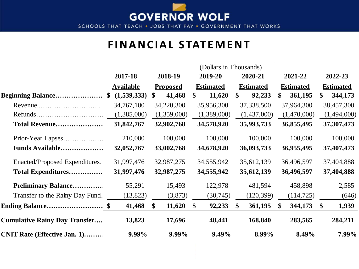

SCHOOLS THAT TEACH . JOBS THAT PAY . GOVERNMENT THAT WORKS

#### **FINANCIAL STATEMENT**

|                                         |                  |                         | (Dollars in Thousands)  |                          |                  |                        |
|-----------------------------------------|------------------|-------------------------|-------------------------|--------------------------|------------------|------------------------|
|                                         | 2017-18          | 2018-19                 | 2019-20                 | 2020-21                  | 2021-22          | 2022-23                |
|                                         | <b>Available</b> | <b>Proposed</b>         | <b>Estimated</b>        | <b>Estimated</b>         | <b>Estimated</b> | <b>Estimated</b>       |
| <b>Beginning Balance</b> \$ (1,539,333) |                  | 41,468<br>\$            | 11,620<br>$\mathbf{\$}$ | 92,233<br>\$             | 361,195<br>\$    | 344,173<br>\$          |
|                                         | 34,767,100       | 34,220,300              | 35,956,300              | 37,338,500               | 37,964,300       | 38,457,300             |
|                                         | (1,385,000)      | (1,359,000)             | (1,389,000)             | (1,437,000)              | (1,470,000)      | (1,494,000)            |
| Total Revenue                           | 31,842,767       | 32,902,768              | 34,578,920              | 35,993,733               | 36,855,495       | 37, 307, 473           |
|                                         | 210,000          | 100,000                 | 100,000                 | 100,000                  | 100,000          | 100,000                |
| Funds Available                         | 32,052,767       | 33,002,768              | 34,678,920              | 36,093,733               | 36,955,495       | 37,407,473             |
| Enacted/Proposed Expenditures           | 31,997,476       | 32,987,275              | 34,555,942              | 35,612,139               | 36,496,597       | 37,404,888             |
| Total Expenditures                      | 31,997,476       | 32,987,275              | 34,555,942              | 35,612,139               | 36,496,597       | 37,404,888             |
| <b>Preliminary Balance</b>              | 55,291           | 15,493                  | 122,978                 | 481,594                  | 458,898          | 2,585                  |
| Transfer to the Rainy Day Fund.         | (13, 823)        | (3,873)                 | (30, 745)               | (120, 399)               | (114, 725)       | (646)                  |
| <b>Ending Balance</b> \$                | 41,468           | $\mathbf{\$}$<br>11,620 | 92,233<br><sup>\$</sup> | 361,195<br>$\mathbf{\$}$ | 344,173          | 1,939<br>$\mathbf{\$}$ |
| <b>Cumulative Rainy Day Transfer</b>    | 13,823           | 17,696                  | 48,441                  | 168,840                  | 283,565          | 284,211                |
| <b>CNIT Rate (Effective Jan. 1)</b>     | 9.99%            | 9.99%                   | 9.49%                   | 8.99%                    | 8.49%            | 7.99%                  |